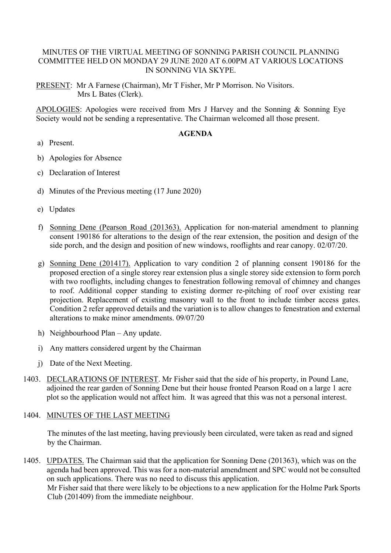# MINUTES OF THE VIRTUAL MEETING OF SONNING PARISH COUNCIL PLANNING COMMITTEE HELD ON MONDAY 29 JUNE 2020 AT 6.00PM AT VARIOUS LOCATIONS IN SONNING VIA SKYPE.

PRESENT: Mr A Farnese (Chairman), Mr T Fisher, Mr P Morrison. No Visitors. Mrs L Bates (Clerk).

APOLOGIES: Apologies were received from Mrs J Harvey and the Sonning & Sonning Eye Society would not be sending a representative. The Chairman welcomed all those present.

### **AGENDA**

- a) Present.
- b) Apologies for Absence
- c) Declaration of Interest
- d) Minutes of the Previous meeting (17 June 2020)
- e) Updates
- f) Sonning Dene (Pearson Road (201363). Application for non-material amendment to planning consent 190186 for alterations to the design of the rear extension, the position and design of the side porch, and the design and position of new windows, rooflights and rear canopy. 02/07/20.
- g) Sonning Dene (201417). Application to vary condition 2 of planning consent 190186 for the proposed erection of a single storey rear extension plus a single storey side extension to form porch with two rooflights, including changes to fenestration following removal of chimney and changes to roof. Additional copper standing to existing dormer re-pitching of roof over existing rear projection. Replacement of existing masonry wall to the front to include timber access gates. Condition 2 refer approved details and the variation is to allow changes to fenestration and external alterations to make minor amendments. 09/07/20
- h) Neighbourhood Plan Any update.
- i) Any matters considered urgent by the Chairman
- j) Date of the Next Meeting.
- 1403. DECLARATIONS OF INTEREST. Mr Fisher said that the side of his property, in Pound Lane, adjoined the rear garden of Sonning Dene but their house fronted Pearson Road on a large 1 acre plot so the application would not affect him. It was agreed that this was not a personal interest.

### 1404. MINUTES OF THE LAST MEETING

The minutes of the last meeting, having previously been circulated, were taken as read and signed by the Chairman.

1405. UPDATES. The Chairman said that the application for Sonning Dene (201363), which was on the agenda had been approved. This was for a non-material amendment and SPC would not be consulted on such applications. There was no need to discuss this application. Mr Fisher said that there were likely to be objections to a new application for the Holme Park Sports Club (201409) from the immediate neighbour.